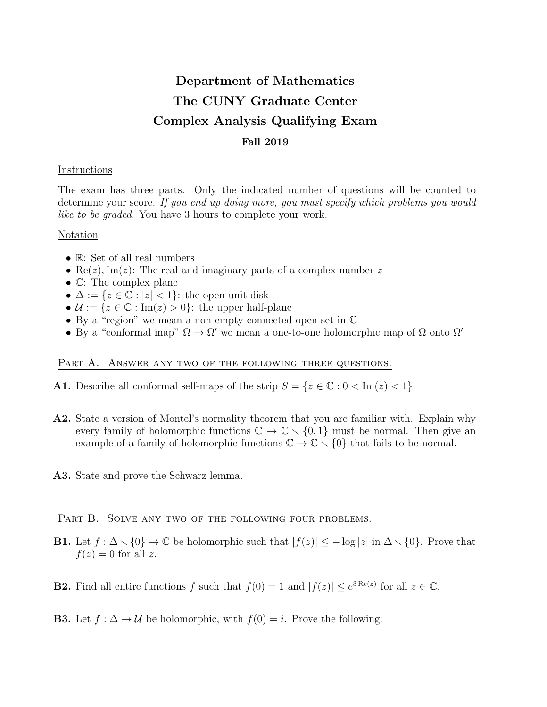# Department of Mathematics The CUNY Graduate Center Complex Analysis Qualifying Exam Fall 2019

### Instructions

The exam has three parts. Only the indicated number of questions will be counted to determine your score. If you end up doing more, you must specify which problems you would like to be graded. You have 3 hours to complete your work.

#### Notation

- R: Set of all real numbers
- Re(z), Im(z): The real and imaginary parts of a complex number z
- C: The complex plane
- $\Delta := \{z \in \mathbb{C} : |z| < 1\}$ : the open unit disk
- $\mathcal{U} := \{z \in \mathbb{C} : \text{Im}(z) > 0\}$ : the upper half-plane
- By a "region" we mean a non-empty connected open set in C
- By a "conformal map"  $\Omega \to \Omega'$  we mean a one-to-one holomorphic map of  $\Omega$  onto  $\Omega'$

## PART A. ANSWER ANY TWO OF THE FOLLOWING THREE QUESTIONS.

- A1. Describe all conformal self-maps of the strip  $S = \{z \in \mathbb{C} : 0 < \text{Im}(z) < 1\}.$
- A2. State a version of Montel's normality theorem that you are familiar with. Explain why every family of holomorphic functions  $\mathbb{C} \to \mathbb{C} \setminus \{0, 1\}$  must be normal. Then give an example of a family of holomorphic functions  $\mathbb{C} \to \mathbb{C} \setminus \{0\}$  that fails to be normal.
- A3. State and prove the Schwarz lemma.

#### PART B. SOLVE ANY TWO OF THE FOLLOWING FOUR PROBLEMS.

- **B1.** Let  $f : \Delta \setminus \{0\} \to \mathbb{C}$  be holomorphic such that  $|f(z)| \leq -\log|z|$  in  $\Delta \setminus \{0\}$ . Prove that  $f(z) = 0$  for all z.
- **B2.** Find all entire functions f such that  $f(0) = 1$  and  $|f(z)| \le e^{3 \text{Re}(z)}$  for all  $z \in \mathbb{C}$ .

**B3.** Let  $f : \Delta \to \mathcal{U}$  be holomorphic, with  $f(0) = i$ . Prove the following: